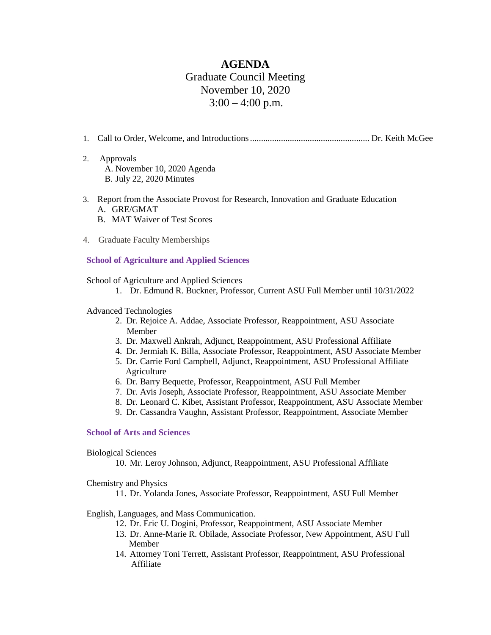# **AGENDA** Graduate Council Meeting November 10, 2020  $3:00 - 4:00$  p.m.

- 1. Call to Order, Welcome, and Introductions...................................................... Dr. Keith McGee
- 2. Approvals A. November 10, 2020 Agenda B. July 22, 2020 Minutes
- 3. Report from the Associate Provost for Research, Innovation and Graduate Education A. GRE/GMAT
	- B. MAT Waiver of Test Scores
- 4. Graduate Faculty Memberships

# **School of Agriculture and Applied Sciences**

School of Agriculture and Applied Sciences

1. Dr. Edmund R. Buckner, Professor, Current ASU Full Member until 10/31/2022

## Advanced Technologies

- 2. Dr. Rejoice A. Addae, Associate Professor, Reappointment, ASU Associate Member
- 3. Dr. Maxwell Ankrah, Adjunct, Reappointment, ASU Professional Affiliate
- 4. Dr. Jermiah K. Billa, Associate Professor, Reappointment, ASU Associate Member
- 5. Dr. Carrie Ford Campbell, Adjunct, Reappointment, ASU Professional Affiliate Agriculture
- 6. Dr. Barry Bequette, Professor, Reappointment, ASU Full Member
- 7. Dr. Avis Joseph, Associate Professor, Reappointment, ASU Associate Member
- 8. Dr. Leonard C. Kibet, Assistant Professor, Reappointment, ASU Associate Member
- 9. Dr. Cassandra Vaughn, Assistant Professor, Reappointment, Associate Member

## **School of Arts and Sciences**

#### Biological Sciences

10. Mr. Leroy Johnson, Adjunct, Reappointment, ASU Professional Affiliate

# Chemistry and Physics

11. Dr. Yolanda Jones, Associate Professor, Reappointment, ASU Full Member

# English, Languages, and Mass Communication.

12. Dr. Eric U. Dogini, Professor, Reappointment, ASU Associate Member

- 13. Dr. Anne-Marie R. Obilade, Associate Professor, New Appointment, ASU Full Member
- 14. Attorney Toni Terrett, Assistant Professor, Reappointment, ASU Professional Affiliate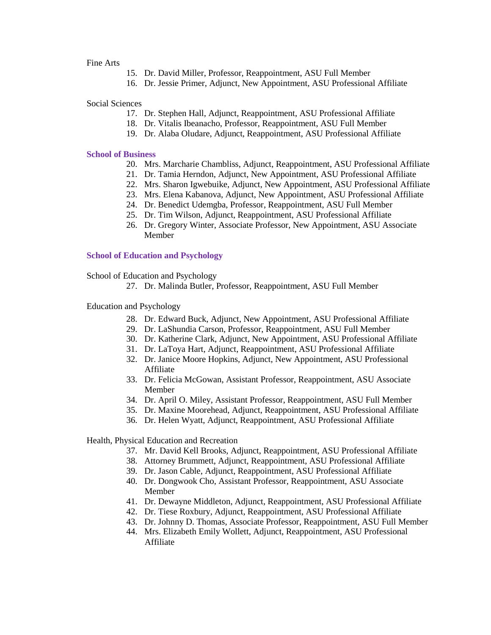#### Fine Arts

- 15. Dr. David Miller, Professor, Reappointment, ASU Full Member
- 16. Dr. Jessie Primer, Adjunct, New Appointment, ASU Professional Affiliate

Social Sciences

- 17. Dr. Stephen Hall, Adjunct, Reappointment, ASU Professional Affiliate
- 18. Dr. Vitalis Ibeanacho, Professor, Reappointment, ASU Full Member
- 19. Dr. Alaba Oludare, Adjunct, Reappointment, ASU Professional Affiliate

#### **School of Business**

- 20. Mrs. Marcharie Chambliss, Adjunct, Reappointment, ASU Professional Affiliate
- 21. Dr. Tamia Herndon, Adjunct, New Appointment, ASU Professional Affiliate
- 22. Mrs. Sharon Igwebuike, Adjunct, New Appointment, ASU Professional Affiliate
- 23. Mrs. Elena Kabanova, Adjunct, New Appointment, ASU Professional Affiliate
- 24. Dr. Benedict Udemgba, Professor, Reappointment, ASU Full Member
- 25. Dr. Tim Wilson, Adjunct, Reappointment, ASU Professional Affiliate
- 26. Dr. Gregory Winter, Associate Professor, New Appointment, ASU Associate Member

#### **School of Education and Psychology**

School of Education and Psychology

27. Dr. Malinda Butler, Professor, Reappointment, ASU Full Member

Education and Psychology

- 28. Dr. Edward Buck, Adjunct, New Appointment, ASU Professional Affiliate
- 29. Dr. LaShundia Carson, Professor, Reappointment, ASU Full Member
- 30. Dr. Katherine Clark, Adjunct, New Appointment, ASU Professional Affiliate
- 31. Dr. LaToya Hart, Adjunct, Reappointment, ASU Professional Affiliate
- 32. Dr. Janice Moore Hopkins, Adjunct, New Appointment, ASU Professional Affiliate
- 33. Dr. Felicia McGowan, Assistant Professor, Reappointment, ASU Associate Member
- 34. Dr. April O. Miley, Assistant Professor, Reappointment, ASU Full Member
- 35. Dr. Maxine Moorehead, Adjunct, Reappointment, ASU Professional Affiliate
- 36. Dr. Helen Wyatt, Adjunct, Reappointment, ASU Professional Affiliate

Health, Physical Education and Recreation

- 37. Mr. David Kell Brooks, Adjunct, Reappointment, ASU Professional Affiliate
- 38. Attorney Brummett, Adjunct, Reappointment, ASU Professional Affiliate
- 39. Dr. Jason Cable, Adjunct, Reappointment, ASU Professional Affiliate
- 40. Dr. Dongwook Cho, Assistant Professor, Reappointment, ASU Associate Member
- 41. Dr. Dewayne Middleton, Adjunct, Reappointment, ASU Professional Affiliate
- 42. Dr. Tiese Roxbury, Adjunct, Reappointment, ASU Professional Affiliate
- 43. Dr. Johnny D. Thomas, Associate Professor, Reappointment, ASU Full Member
- 44. Mrs. Elizabeth Emily Wollett, Adjunct, Reappointment, ASU Professional Affiliate